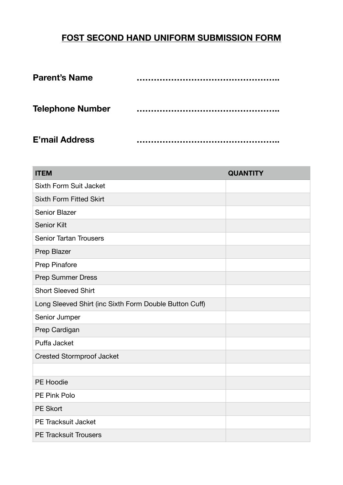## **FOST SECOND HAND UNIFORM SUBMISSION FORM**

| <b>Parent's Name</b>    |  |
|-------------------------|--|
| <b>Telephone Number</b> |  |
| <b>E'mail Address</b>   |  |

| <b>ITEM</b>                                            | <b>QUANTITY</b> |  |
|--------------------------------------------------------|-----------------|--|
| <b>Sixth Form Suit Jacket</b>                          |                 |  |
| <b>Sixth Form Fitted Skirt</b>                         |                 |  |
| Senior Blazer                                          |                 |  |
| <b>Senior Kilt</b>                                     |                 |  |
| <b>Senior Tartan Trousers</b>                          |                 |  |
| Prep Blazer                                            |                 |  |
| <b>Prep Pinafore</b>                                   |                 |  |
| <b>Prep Summer Dress</b>                               |                 |  |
| <b>Short Sleeved Shirt</b>                             |                 |  |
| Long Sleeved Shirt (inc Sixth Form Double Button Cuff) |                 |  |
| Senior Jumper                                          |                 |  |
| Prep Cardigan                                          |                 |  |
| Puffa Jacket                                           |                 |  |
| <b>Crested Stormproof Jacket</b>                       |                 |  |
|                                                        |                 |  |
| PE Hoodie                                              |                 |  |
| PE Pink Polo                                           |                 |  |
| <b>PE Skort</b>                                        |                 |  |
| PE Tracksuit Jacket                                    |                 |  |
| <b>PE Tracksuit Trousers</b>                           |                 |  |